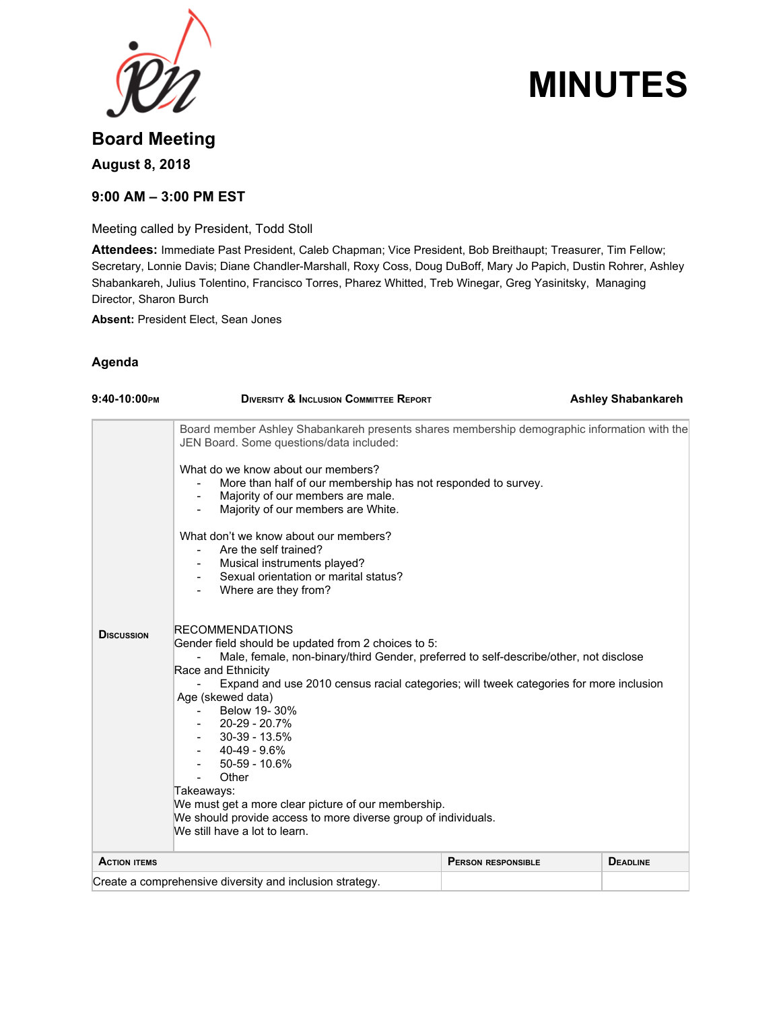

# **MINUTES**

## **Board Meeting**

**August 8, 2018**

### **9:00 AM – 3:00 PM EST**

Meeting called by President, Todd Stoll

**Attendees:** Immediate Past President, Caleb Chapman; Vice President, Bob Breithaupt; Treasurer, Tim Fellow; Secretary, Lonnie Davis; Diane Chandler-Marshall, Roxy Coss, Doug DuBoff, Mary Jo Papich, Dustin Rohrer, Ashley Shabankareh, Julius Tolentino, Francisco Torres, Pharez Whitted, Treb Winegar, Greg Yasinitsky, Managing Director, Sharon Burch

**Absent:** President Elect, Sean Jones

#### **Agenda**

| $9:40-10:00$ PM     | <b>DIVERSITY &amp; INCLUSION COMMITTEE REPORT</b>                                                                                                                                                                                                                                                                                                                                                                                                                                                                                                                                   |                           | <b>Ashley Shabankareh</b> |
|---------------------|-------------------------------------------------------------------------------------------------------------------------------------------------------------------------------------------------------------------------------------------------------------------------------------------------------------------------------------------------------------------------------------------------------------------------------------------------------------------------------------------------------------------------------------------------------------------------------------|---------------------------|---------------------------|
|                     | Board member Ashley Shabankareh presents shares membership demographic information with the<br>JEN Board. Some questions/data included:<br>What do we know about our members?<br>More than half of our membership has not responded to survey.<br>Majority of our members are male.<br>$\blacksquare$                                                                                                                                                                                                                                                                               |                           |                           |
|                     | Majority of our members are White.<br>What don't we know about our members?<br>Are the self trained?<br>Musical instruments played?<br>Sexual orientation or marital status?<br>Where are they from?                                                                                                                                                                                                                                                                                                                                                                                |                           |                           |
| <b>DISCUSSION</b>   | <b>RECOMMENDATIONS</b><br>Gender field should be updated from 2 choices to 5:<br>Male, female, non-binary/third Gender, preferred to self-describe/other, not disclose<br>Race and Ethnicity<br>Expand and use 2010 census racial categories; will tweek categories for more inclusion<br>Age (skewed data)<br>Below 19-30%<br>20-29 - 20.7%<br>$30-39 - 13.5%$<br>40-49 - 9.6%<br>$50-59 - 10.6%$<br>Other<br>Takeaways:<br>We must get a more clear picture of our membership.<br>We should provide access to more diverse group of individuals.<br>We still have a lot to learn. |                           |                           |
| <b>ACTION ITEMS</b> |                                                                                                                                                                                                                                                                                                                                                                                                                                                                                                                                                                                     | <b>PERSON RESPONSIBLE</b> | <b>DEADLINE</b>           |
|                     | Create a comprehensive diversity and inclusion strategy.                                                                                                                                                                                                                                                                                                                                                                                                                                                                                                                            |                           |                           |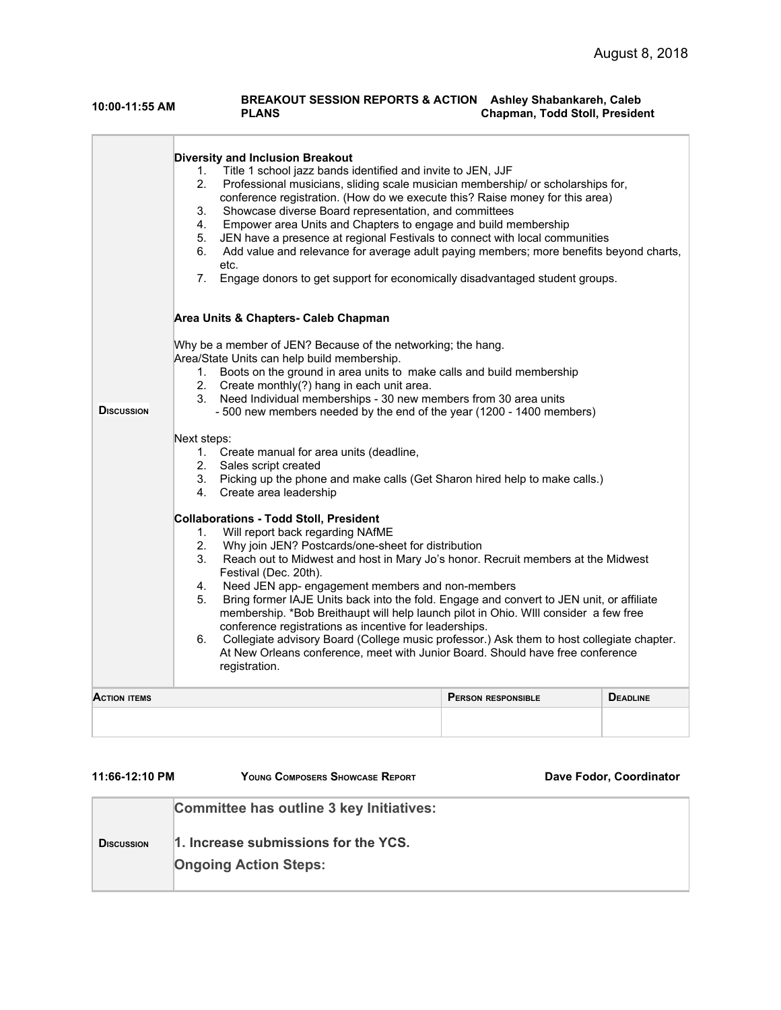#### **10:00-11:55 AM BREAKOUT SESSION REPORTS & ACTION PLANS Ashley Shabankareh, Caleb Chapman, Todd Stoll, President**

|                   | <b>Diversity and Inclusion Breakout</b><br>Title 1 school jazz bands identified and invite to JEN, JJF<br>1.<br>2.<br>Professional musicians, sliding scale musician membership/ or scholarships for,<br>conference registration. (How do we execute this? Raise money for this area)<br>Showcase diverse Board representation, and committees<br>3.<br>Empower area Units and Chapters to engage and build membership<br>4.<br>JEN have a presence at regional Festivals to connect with local communities<br>5.<br>Add value and relevance for average adult paying members; more benefits beyond charts,<br>6.<br>etc.<br>Engage donors to get support for economically disadvantaged student groups.<br>7.                                                                                                                                                                                                                                                                                                                                                                                                                                                                                                                                                                                                                                                                                                                                |                           |                 |
|-------------------|-----------------------------------------------------------------------------------------------------------------------------------------------------------------------------------------------------------------------------------------------------------------------------------------------------------------------------------------------------------------------------------------------------------------------------------------------------------------------------------------------------------------------------------------------------------------------------------------------------------------------------------------------------------------------------------------------------------------------------------------------------------------------------------------------------------------------------------------------------------------------------------------------------------------------------------------------------------------------------------------------------------------------------------------------------------------------------------------------------------------------------------------------------------------------------------------------------------------------------------------------------------------------------------------------------------------------------------------------------------------------------------------------------------------------------------------------|---------------------------|-----------------|
|                   | Area Units & Chapters- Caleb Chapman<br>Why be a member of JEN? Because of the networking; the hang.<br>Area/State Units can help build membership.<br>Boots on the ground in area units to make calls and build membership<br>1.<br>2.<br>Create monthly(?) hang in each unit area.<br>3.<br>Need Individual memberships - 30 new members from 30 area units<br>- 500 new members needed by the end of the year (1200 - 1400 members)<br>Next steps:<br>1. Create manual for area units (deadline,<br>2. Sales script created<br>3. Picking up the phone and make calls (Get Sharon hired help to make calls.)<br>Create area leadership<br>4.<br><b>Collaborations - Todd Stoll, President</b><br>Will report back regarding NAfME<br>1.<br>2.<br>Why join JEN? Postcards/one-sheet for distribution<br>3.<br>Reach out to Midwest and host in Mary Jo's honor. Recruit members at the Midwest<br>Festival (Dec. 20th).<br>4.<br>Need JEN app- engagement members and non-members<br>Bring former IAJE Units back into the fold. Engage and convert to JEN unit, or affiliate<br>5.<br>membership. *Bob Breithaupt will help launch pilot in Ohio. WIll consider a few free<br>conference registrations as incentive for leaderships.<br>Collegiate advisory Board (College music professor.) Ask them to host collegiate chapter.<br>6.<br>At New Orleans conference, meet with Junior Board. Should have free conference<br>registration. |                           |                 |
| <b>DISCUSSION</b> |                                                                                                                                                                                                                                                                                                                                                                                                                                                                                                                                                                                                                                                                                                                                                                                                                                                                                                                                                                                                                                                                                                                                                                                                                                                                                                                                                                                                                                               |                           |                 |
|                   |                                                                                                                                                                                                                                                                                                                                                                                                                                                                                                                                                                                                                                                                                                                                                                                                                                                                                                                                                                                                                                                                                                                                                                                                                                                                                                                                                                                                                                               |                           |                 |
|                   |                                                                                                                                                                                                                                                                                                                                                                                                                                                                                                                                                                                                                                                                                                                                                                                                                                                                                                                                                                                                                                                                                                                                                                                                                                                                                                                                                                                                                                               |                           |                 |
| Action items      |                                                                                                                                                                                                                                                                                                                                                                                                                                                                                                                                                                                                                                                                                                                                                                                                                                                                                                                                                                                                                                                                                                                                                                                                                                                                                                                                                                                                                                               | <b>PERSON RESPONSIBLE</b> | <b>DEADLINE</b> |
|                   |                                                                                                                                                                                                                                                                                                                                                                                                                                                                                                                                                                                                                                                                                                                                                                                                                                                                                                                                                                                                                                                                                                                                                                                                                                                                                                                                                                                                                                               |                           |                 |

| 11:66-12:10 PM     | YOUNG COMPOSERS SHOWCASE REPORT                                                                                  | Dave Fodor, Coordinator |
|--------------------|------------------------------------------------------------------------------------------------------------------|-------------------------|
| <b>D</b> ISCUSSION | Committee has outline 3 key Initiatives:<br>1. Increase submissions for the YCS.<br><b>Ongoing Action Steps:</b> |                         |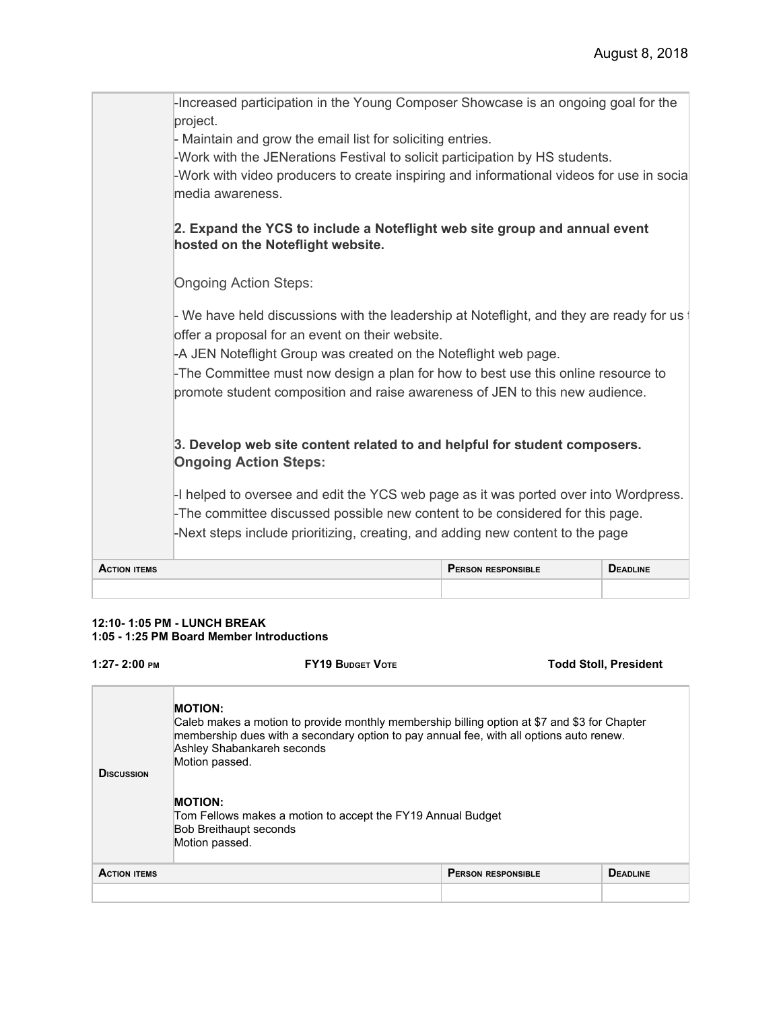| <b>ACTION ITEMS</b> |                                                                                                                                                                                                                                                                                                                                                                                      | <b>PERSON RESPONSIBLE</b> | <b>DEADLINE</b> |
|---------------------|--------------------------------------------------------------------------------------------------------------------------------------------------------------------------------------------------------------------------------------------------------------------------------------------------------------------------------------------------------------------------------------|---------------------------|-----------------|
|                     | -I helped to oversee and edit the YCS web page as it was ported over into Wordpress.<br>-The committee discussed possible new content to be considered for this page.<br>-Next steps include prioritizing, creating, and adding new content to the page                                                                                                                              |                           |                 |
|                     | 3. Develop web site content related to and helpful for student composers.<br><b>Ongoing Action Steps:</b>                                                                                                                                                                                                                                                                            |                           |                 |
|                     | - We have held discussions with the leadership at Noteflight, and they are ready for us a<br>offer a proposal for an event on their website.<br>-A JEN Noteflight Group was created on the Noteflight web page.<br>-The Committee must now design a plan for how to best use this online resource to<br>promote student composition and raise awareness of JEN to this new audience. |                           |                 |
|                     | 2. Expand the YCS to include a Noteflight web site group and annual event<br>hosted on the Noteflight website.<br><b>Ongoing Action Steps:</b>                                                                                                                                                                                                                                       |                           |                 |
|                     | -Increased participation in the Young Composer Showcase is an ongoing goal for the<br>project.<br>- Maintain and grow the email list for soliciting entries.<br>-Work with the JENerations Festival to solicit participation by HS students.<br>-Work with video producers to create inspiring and informational videos for use in socia<br>media awareness.                         |                           |                 |

#### **12:10- 1:05 PM - LUNCH BREAK 1:05 - 1:25 PM Board Member Introductions**

| $1:27 - 2:00$ PM                                                                                                                 | <b>FY19 BUDGET VOTE</b>                                                                                                                                                                                                                                   |                           | <b>Todd Stoll, President</b> |  |
|----------------------------------------------------------------------------------------------------------------------------------|-----------------------------------------------------------------------------------------------------------------------------------------------------------------------------------------------------------------------------------------------------------|---------------------------|------------------------------|--|
| <b>DISCUSSION</b>                                                                                                                | <b>MOTION:</b><br>Caleb makes a motion to provide monthly membership billing option at \$7 and \$3 for Chapter<br>membership dues with a secondary option to pay annual fee, with all options auto renew.<br>Ashley Shabankareh seconds<br>Motion passed. |                           |                              |  |
| <b>MOTION:</b><br>Tom Fellows makes a motion to accept the FY19 Annual Budget<br><b>Bob Breithaupt seconds</b><br>Motion passed. |                                                                                                                                                                                                                                                           |                           |                              |  |
| <b>ACTION ITEMS</b>                                                                                                              |                                                                                                                                                                                                                                                           | <b>PERSON RESPONSIBLE</b> | <b>DEADLINE</b>              |  |
|                                                                                                                                  |                                                                                                                                                                                                                                                           |                           |                              |  |